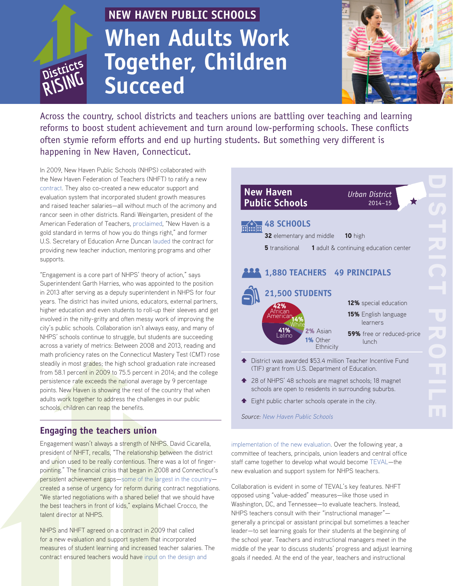

# **NEW HAVEN PUBLIC SCHOOLS When Adults Work Together, Children RISING Succeed**



Across the country, school districts and teachers unions are battling over teaching and learning reforms to boost student achievement and turn around low-performing schools. These conflicts often stymie reform efforts and end up hurting students. But something very different is happening in New Haven, Connecticut.

In 2009, New Haven Public Schools (NHPS) collaborated with the New Haven Federation of Teachers (NHFT) to ratify a new [contract.](http://www.edweek.org/media/newhaven_teachers_contract.pdf) They also co-created a new educator support and evaluation system that incorporated student growth measures and raised teacher salaries—all without much of the acrimony and rancor seen in other districts. Randi Weingarten, president of the American Federation of Teachers, [proclaimed](http://nation.time.com/2013/06/11/in-new-haven-a-teachers-union-embraces-change/), "New Haven is a gold standard in terms of how you do things right," and former U.S. Secretary of Education Arne Duncan [lauded](http://www.ed.gov/news/speeches/advancing-student-achievement-through-labor-management-collaboration) the contract for providing new teacher induction, mentoring programs and other supports.

"Engagement is a core part of NHPS' theory of action," says Superintendent Garth Harries, who was appointed to the position in 2013 after serving as a deputy superintendent in NHPS for four years. The district has invited unions, educators, external partners, higher education and even students to roll-up their sleeves and get involved in the nitty-gritty and often messy work of improving the city's public schools. Collaboration isn't always easy, and many of NHPS' schools continue to struggle, but students are succeeding across a variety of metrics: Between 2008 and 2013, reading and math proficiency rates on the Connecticut Mastery Test (CMT) rose steadily in most grades; the high school graduation rate increased from 58.1 percent in 2009 to 75.5 percent in 2014; and the college persistence rate exceeds the national average by 9 percentage points. New Haven is showing the rest of the country that when adults work together to address the challenges in our public schools, children can reap the benefits.

# **Engaging the teachers union**

Engagement wasn't always a strength of NHPS. David Cicarella, president of NHFT, recalls, "The relationship between the district and union used to be really contentious. There was a lot of fingerpointing." The financial crisis that began in 2008 and Connecticut's persistent achievement gaps[—some of the largest in the country](http://www.slideshare.net/ConnCAN/2015-conncan-naep-analysis-54649923) created a sense of urgency for reform during contract negotiations. "We started negotiations with a shared belief that we should have the best teachers in front of kids," explains Michael Crocco, the talent director at NHPS.

NHPS and NHFT agreed on a contract in 2009 that called for a new evaluation and support system that incorporated measures of student learning and increased teacher salaries. The contract ensured teachers would have [input on the design and](http://www.newhavenindependent.org/index.php/archives/entry/after_teacher_vote_mayo_seeks_grand_slam/) 

| <b>New Haven</b><br><b>Public Schools</b>                                                                              | <b>Urban District</b><br>$2014 - 15$         |
|------------------------------------------------------------------------------------------------------------------------|----------------------------------------------|
| <b>48 SCHOOLS</b><br><b>düla</b><br><b>32</b> elementary and middle<br><b>5</b> transitional                           | 10 high                                      |
| 1,880 TEACHERS 49 PRINCIPALS                                                                                           | <b>1</b> adult & continuing education center |
| 21,500 STUDENTS                                                                                                        | 12% special education                        |
| ıcar<br>41%<br>2% Asian                                                                                                | <b>15%</b> English language<br>learners      |
| l atıno<br>1% Other<br>Ethnicity                                                                                       | 59% free or reduced-price<br>lunch           |
| District was awarded \$53.4 million Teacher Incentive Fund<br>(TIF) grant from U.S. Department of Education.           |                                              |
| <b>▲</b> 28 of NHPS' 48 schools are magnet schools; 18 magnet<br>schools are open to residents in surrounding suburbs. |                                              |
| Eight public charter schools operate in the city.                                                                      |                                              |

*Source: [New Haven Public Schools](http://www.nhps.net/node/4)*

[implementation of the new evaluation](http://www.newhavenindependent.org/index.php/archives/entry/after_teacher_vote_mayo_seeks_grand_slam/). Over the following year, a committee of teachers, principals, union leaders and central office staff came together to develop what would become [TEVAL—](http://nhps.net/node/1082)the new evaluation and support system for NHPS teachers.

Collaboration is evident in some of TEVAL's key features. NHFT opposed using "value-added" measures—like those used in Washington, DC, and Tennessee—to evaluate teachers. Instead, NHPS teachers consult with their "instructional manager" generally a principal or assistant principal but sometimes a teacher leader—to set learning goals for their students at the beginning of the school year. Teachers and instructional managers meet in the middle of the year to discuss students' progress and adjust learning goals if needed. At the end of the year, teachers and instructional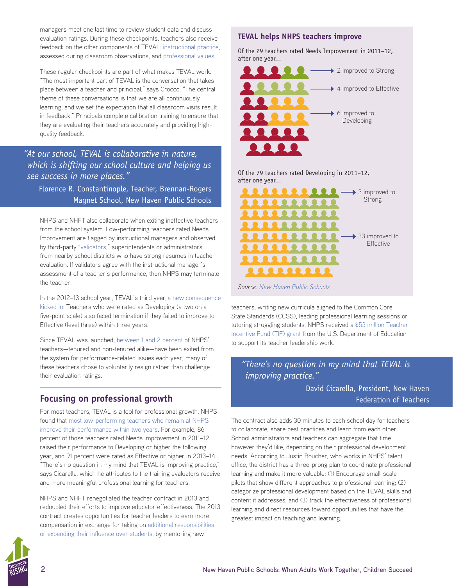managers meet one last time to review student data and discuss evaluation ratings. During these checkpoints, teachers also receive feedback on the other components of TEVAL: [instructional practice,](http://www.nhps.net/sites/default/files/4__Instructional_Practice_Framework_100819.pdf) assessed during classroom observations, and [professional values.](http://www.nhps.net/sites/default/files/6__Professional_Values_Framework_and_Performance_Continuum_100824.pdf)

These regular checkpoints are part of what makes TEVAL work. "The most important part of TEVAL is the conversation that takes place between a teacher and principal," says Crocco. "The central theme of these conversations is that we are all continuously learning, and we set the expectation that all classroom visits result in feedback." Principals complete calibration training to ensure that they are evaluating their teachers accurately and providing highquality feedback.

#### *"At our school, TEVAL is collaborative in nature, which is shifting our school culture and helping us see success in more places."*

Florence R. Constantinople, Teacher, Brennan-Rogers Magnet School, New Haven Public Schools

NHPS and NHFT also collaborate when exiting ineffective teachers from the school system. Low-performing teachers rated Needs Improvement are flagged by instructional managers and observed by third-party "[validators,](https://www2.ed.gov/about/inits/ed/implementation-support-unit/tech-assist/teacher-evaluation-manageable.pdf)" superintendents or administrators from nearby school districts who have strong resumes in teacher evaluation. If validators agree with the instructional manager's assessment of a teacher's performance, then NHPS may terminate the teacher.

In the 2012–13 school year, TEVAL's third year, [a new consequence](http://www.newhavenindependent.org/index.php/archives/entry/teacher_evaluations/)  [kicked in](http://www.newhavenindependent.org/index.php/archives/entry/teacher_evaluations/): Teachers who were rated as Developing (a two on a five-point scale) also faced termination if they failed to improve to Effective (level three) within three years.

Since TEVAL was launched, [between 1 and 2 percent](http://ctmirror.org/2014/02/28/new-haven-evaluations-push-out-20-more-teachers/) of NHPS' teachers—tenured and non-tenured alike—have been exited from the system for performance-related issues each year; many of these teachers chose to voluntarily resign rather than challenge their evaluation ratings.

## **Focusing on professional growth**

For most teachers, TEVAL is a tool for professional growth. NHPS found that [most low-performing teachers who remain at NHPS](http://www.sde.ct.gov/sde/lib/sde/pdf/alliance_districts/convening/new_haven_public_schools_teacher_development_and_professionalism.pdf)  [improve their performance within two years](http://www.sde.ct.gov/sde/lib/sde/pdf/alliance_districts/convening/new_haven_public_schools_teacher_development_and_professionalism.pdf). For example, 86 percent of those teachers rated Needs Improvement in 2011–12 raised their performance to Developing or higher the following year, and 91 percent were rated as Effective or higher in 2013–14. "There's no question in my mind that TEVAL is improving practice," says Cicarella, which he attributes to the training evaluators receive and more meaningful professional learning for teachers.

NHPS and NHFT renegotiated the teacher contract in 2013 and redoubled their efforts to improve educator effectiveness. The 2013 contract creates opportunities for teacher leaders to earn more compensation in exchange for taking on [additional responsibilities](http://www.sde.ct.gov/sde/lib/sde/pdf/alliance_districts/convening/new_haven_public_schools_teacher_development_and_professionalism.pdf)  [or expanding their influence over students](http://www.sde.ct.gov/sde/lib/sde/pdf/alliance_districts/convening/new_haven_public_schools_teacher_development_and_professionalism.pdf), by mentoring new

#### **TEVAL helps NHPS teachers improve**

Of the 29 teachers rated Needs Improvement in 2011–12, after one year...



Of the 79 teachers rated Developing in 2011–12, after one year...



teachers, writing new curricula aligned to the Common Core State Standards (CCSS), leading professional learning sessions or tutoring struggling students. NHPS received a [\\$53 million Teacher](http://www.newhavenindependent.org/index.php/archives/entry/schools_win_53m/)  [Incentive Fund \(TIF\) grant](http://www.newhavenindependent.org/index.php/archives/entry/schools_win_53m/) from the U.S. Department of Education to support its teacher leadership work.

# *"There's no question in my mind that TEVAL is improving practice."* David Cicarella, President, New Haven

Federation of Teachers

The contract also adds 30 minutes to each school day for teachers to collaborate, share best practices and learn from each other. School administrators and teachers can aggregate that time however they'd like, depending on their professional development needs. According to Justin Boucher, who works in NHPS' talent office, the district has a three-prong plan to coordinate professional learning and make it more valuable: (1) Encourage small-scale pilots that show different approaches to professional learning; (2) categorize professional development based on the TEVAL skills and content it addresses; and (3) track the effectiveness of professional learning and direct resources toward opportunities that have the greatest impact on teaching and learning.

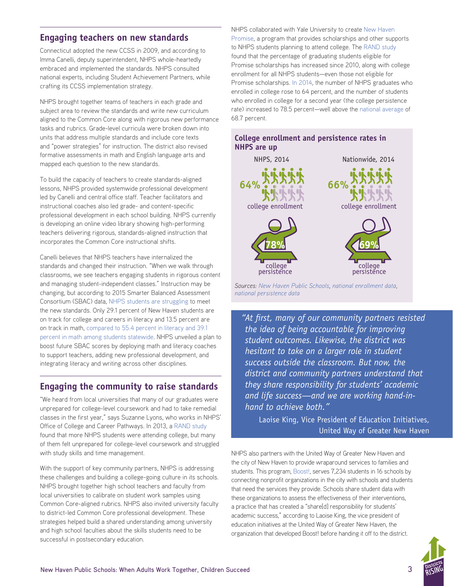#### **Engaging teachers on new standards**

Connecticut adopted the new CCSS in 2009, and according to Imma Canelli, deputy superintendent, NHPS whole-heartedly embraced and implemented the standards. NHPS consulted national experts, including Student Achievement Partners, while crafting its CCSS implementation strategy.

NHPS brought together teams of teachers in each grade and subject area to review the standards and write new curriculum aligned to the Common Core along with rigorous new performance tasks and rubrics. Grade-level curricula were broken down into units that address multiple standards and include core texts and "power strategies" for instruction. The district also revised formative assessments in math and English language arts and mapped each question to the new standards.

To build the capacity of teachers to create standards-aligned lessons, NHPS provided systemwide professional development led by Canelli and central office staff. Teacher facilitators and instructional coaches also led grade- and content-specific professional development in each school building. NHPS currently is developing an online video library showing high-performing teachers delivering rigorous, standards-aligned instruction that incorporates the Common Core instructional shifts.

Canelli believes that NHPS teachers have internalized the standards and changed their instruction. "When we walk through classrooms, we see teachers engaging students in rigorous content and managing student-independent classes." Instruction may be changing, but according to 2015 Smarter Balanced Assessment Consortium (SBAC) data, [NHPS students are struggling](http://www.newhavenindependent.org/index.php/archives/entry/test_flop_leaves_school_board_stumped/) to meet the new standards. Only 29.1 percent of New Haven students are on track for college and careers in literacy and 13.5 percent are on track in math, [compared to 55.4 percent in literacy and 39.1](http://www.sde.ct.gov/sde/cwp/view.asp?a=2758&q=334898)  [percent in math among students statewide.](http://www.sde.ct.gov/sde/cwp/view.asp?a=2758&q=334898) NHPS unveiled a plan to boost future SBAC scores by deploying math and literacy coaches to support teachers, adding new professional development, and integrating literacy and writing across other disciplines.

#### **Engaging the community to raise standards**

"We heard from local universities that many of our graduates were unprepared for college-level coursework and had to take remedial classes in the first year," says Suzanne Lyons, who works in NHPS' Office of College and Career Pathways. In 2013, a [RAND study](http://www.rand.org/pubs/research_reports/RR777.html) found that more NHPS students were attending college, but many of them felt unprepared for college-level coursework and struggled with study skills and time management.

With the support of key community partners, NHPS is addressing these challenges and building a college-going culture in its schools. NHPS brought together high school teachers and faculty from local universities to calibrate on student work samples using Common Core-aligned rubrics. NHPS also invited university faculty to district-led Common Core professional development. These strategies helped build a shared understanding among university and high school faculties about the skills students need to be successful in postsecondary education.

NHPS collaborated with Yale University to create [New Haven](http://www.nhps.net/node/2332)  [Promise,](http://www.nhps.net/node/2332) a program that provides scholarships and other supports to NHPS students planning to attend college. The [RAND study](http://www.rand.org/pubs/research_reports/RR777.html) found that the percentage of graduating students eligible for Promise scholarships has increased since 2010, along with college enrollment for all NHPS students—even those not eligible for Promise scholarships. [In 2014,](http://www.nhps.net/sites/default/files/School_Change_booklet_Sept_1_2015.pdf) the number of NHPS graduates who enrolled in college rose to 64 percent, and the number of students who enrolled in college for a second year (the college persistence rate) increased to 78.5 percent—well above the [national average](http://www.studentclearinghouse.org/about/media_center/press_releases/files/release_2014-07-10.pdf) of 68.7 percent.



*Sources: [New Haven Public Schools,](http://www.nhps.net/sites/default/files/NHPS_SchoolChange_Booklet.pdf) [national enrollment data](http://www.nytimes.com/2014/04/26/business/fewer-us-high-school-graduates-opt-for-college.html), [national persistence data](http://www.studentclearinghouse.org/about/media_center/press_releases/files/release_2014-07-10.pdf)*

*"At first, many of our community partners resisted the idea of being accountable for improving student outcomes. Likewise, the district was hesitant to take on a larger role in student success outside the classroom. But now, the district and community partners understand that they share responsibility for students' academic and life success—and we are working hand-inhand to achieve both."* 

Laoise King, Vice President of Education Initiatives, United Way of Greater New Haven

NHPS also partners with the United Way of Greater New Haven and the city of New Haven to provide wraparound services to families and students. This program, [Boost!,](http://www.uwgnh.org/our-work/education/about-boost) serves 7,234 students in 16 schools by connecting nonprofit organizations in the city with schools and students that need the services they provide. Schools share student data with these organizations to assess the effectiveness of their interventions, a practice that has created a "share[d] responsibility for students' academic success," according to Laoise King, the vice president of education initiatives at the United Way of Greater New Haven, the organization that developed Boost! before handing it off to the district.